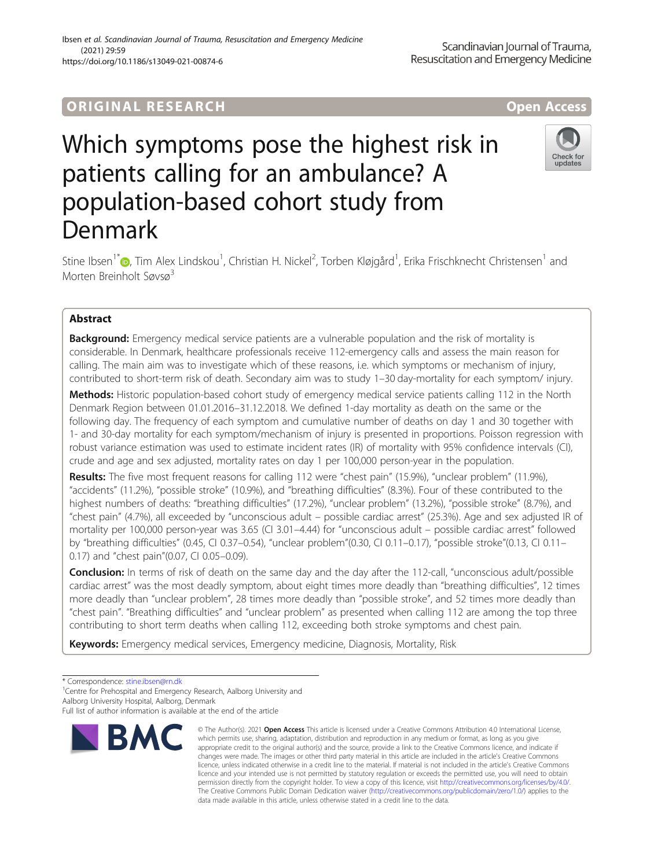# ORIGINA L R E S EA RCH Open Access

# Which symptoms pose the highest risk in patients calling for an ambulance? A population-based cohort study from Denmark

Stine Ibsen<sup>1[\\*](http://orcid.org/0000-0002-5835-7067)</sup>®, Tim Alex Lindskou<sup>1</sup>, Christian H. Nickel<sup>2</sup>, Torben Kløjgård<sup>1</sup>, Erika Frischknecht Christensen<sup>1</sup> and Morten Breinholt Søvsø<sup>3</sup>

# Abstract

**Background:** Emergency medical service patients are a vulnerable population and the risk of mortality is considerable. In Denmark, healthcare professionals receive 112-emergency calls and assess the main reason for calling. The main aim was to investigate which of these reasons, i.e. which symptoms or mechanism of injury, contributed to short-term risk of death. Secondary aim was to study 1–30 day-mortality for each symptom/ injury.

Methods: Historic population-based cohort study of emergency medical service patients calling 112 in the North Denmark Region between 01.01.2016–31.12.2018. We defined 1-day mortality as death on the same or the following day. The frequency of each symptom and cumulative number of deaths on day 1 and 30 together with 1- and 30-day mortality for each symptom/mechanism of injury is presented in proportions. Poisson regression with robust variance estimation was used to estimate incident rates (IR) of mortality with 95% confidence intervals (CI), crude and age and sex adjusted, mortality rates on day 1 per 100,000 person-year in the population.

Results: The five most frequent reasons for calling 112 were "chest pain" (15.9%), "unclear problem" (11.9%), "accidents" (11.2%), "possible stroke" (10.9%), and "breathing difficulties" (8.3%). Four of these contributed to the highest numbers of deaths: "breathing difficulties" (17.2%), "unclear problem" (13.2%), "possible stroke" (8.7%), and "chest pain" (4.7%), all exceeded by "unconscious adult – possible cardiac arrest" (25.3%). Age and sex adjusted IR of mortality per 100,000 person-year was 3.65 (CI 3.01–4.44) for "unconscious adult – possible cardiac arrest" followed by "breathing difficulties" (0.45, CI 0.37–0.54), "unclear problem"(0.30, CI 0.11–0.17), "possible stroke"(0.13, CI 0.11– 0.17) and "chest pain"(0.07, CI 0.05–0.09).

**Conclusion:** In terms of risk of death on the same day and the day after the 112-call, "unconscious adult/possible cardiac arrest" was the most deadly symptom, about eight times more deadly than "breathing difficulties", 12 times more deadly than "unclear problem", 28 times more deadly than "possible stroke", and 52 times more deadly than "chest pain". "Breathing difficulties" and "unclear problem" as presented when calling 112 are among the top three contributing to short term deaths when calling 112, exceeding both stroke symptoms and chest pain.

Keywords: Emergency medical services, Emergency medicine, Diagnosis, Mortality, Risk

<sup>1</sup> Centre for Prehospital and Emergency Research, Aalborg University and

**RMC** 



© The Author(s), 2021 **Open Access** This article is licensed under a Creative Commons Attribution 4.0 International License, which permits use, sharing, adaptation, distribution and reproduction in any medium or format, as long as you give





<sup>\*</sup> Correspondence: [stine.ibsen@rn.dk](mailto:stine.ibsen@rn.dk) <sup>1</sup>

Aalborg University Hospital, Aalborg, Denmark

Full list of author information is available at the end of the article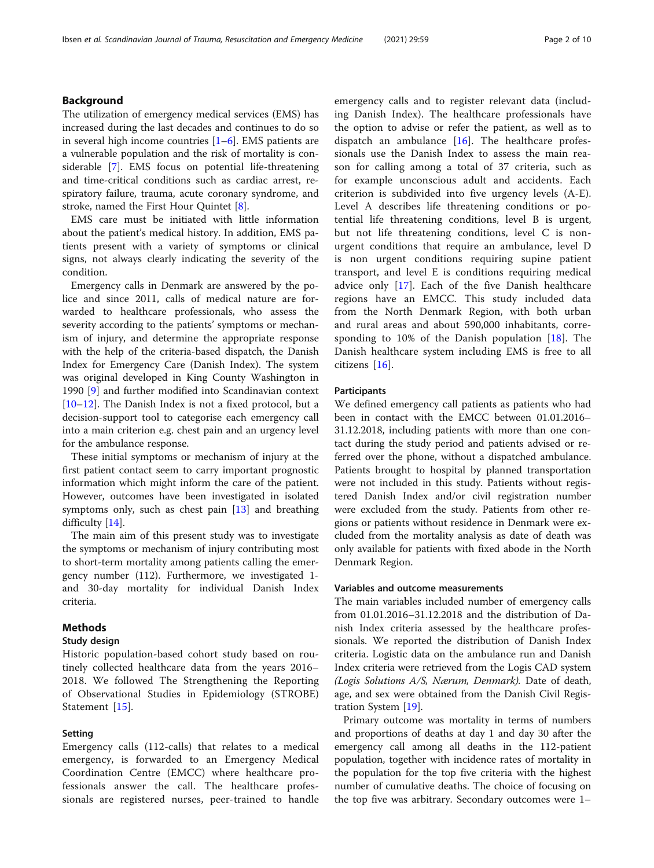# Background

The utilization of emergency medical services (EMS) has increased during the last decades and continues to do so in several high income countries  $[1-6]$  $[1-6]$  $[1-6]$  $[1-6]$ . EMS patients are a vulnerable population and the risk of mortality is considerable [[7\]](#page-9-0). EMS focus on potential life-threatening and time-critical conditions such as cardiac arrest, respiratory failure, trauma, acute coronary syndrome, and stroke, named the First Hour Quintet [[8\]](#page-9-0).

EMS care must be initiated with little information about the patient's medical history. In addition, EMS patients present with a variety of symptoms or clinical signs, not always clearly indicating the severity of the condition.

Emergency calls in Denmark are answered by the police and since 2011, calls of medical nature are forwarded to healthcare professionals, who assess the severity according to the patients' symptoms or mechanism of injury, and determine the appropriate response with the help of the criteria-based dispatch, the Danish Index for Emergency Care (Danish Index). The system was original developed in King County Washington in 1990 [[9\]](#page-9-0) and further modified into Scandinavian context [[10](#page-9-0)–[12](#page-9-0)]. The Danish Index is not a fixed protocol, but a decision-support tool to categorise each emergency call into a main criterion e.g. chest pain and an urgency level for the ambulance response.

These initial symptoms or mechanism of injury at the first patient contact seem to carry important prognostic information which might inform the care of the patient. However, outcomes have been investigated in isolated symptoms only, such as chest pain [[13](#page-9-0)] and breathing difficulty [[14\]](#page-9-0).

The main aim of this present study was to investigate the symptoms or mechanism of injury contributing most to short-term mortality among patients calling the emergency number (112). Furthermore, we investigated 1 and 30-day mortality for individual Danish Index criteria.

# Methods

# Study design

Historic population-based cohort study based on routinely collected healthcare data from the years 2016– 2018. We followed The Strengthening the Reporting of Observational Studies in Epidemiology (STROBE) Statement [[15\]](#page-9-0).

#### Setting

Emergency calls (112-calls) that relates to a medical emergency, is forwarded to an Emergency Medical Coordination Centre (EMCC) where healthcare professionals answer the call. The healthcare professionals are registered nurses, peer-trained to handle emergency calls and to register relevant data (including Danish Index). The healthcare professionals have the option to advise or refer the patient, as well as to dispatch an ambulance  $[16]$  $[16]$  $[16]$ . The healthcare professionals use the Danish Index to assess the main reason for calling among a total of 37 criteria, such as for example unconscious adult and accidents. Each criterion is subdivided into five urgency levels (A-E). Level A describes life threatening conditions or potential life threatening conditions, level B is urgent, but not life threatening conditions, level C is nonurgent conditions that require an ambulance, level D is non urgent conditions requiring supine patient transport, and level E is conditions requiring medical advice only [[17\]](#page-9-0). Each of the five Danish healthcare regions have an EMCC. This study included data from the North Denmark Region, with both urban and rural areas and about 590,000 inhabitants, corresponding to 10% of the Danish population [[18\]](#page-9-0). The Danish healthcare system including EMS is free to all citizens [\[16](#page-9-0)].

# **Participants**

We defined emergency call patients as patients who had been in contact with the EMCC between 01.01.2016– 31.12.2018, including patients with more than one contact during the study period and patients advised or referred over the phone, without a dispatched ambulance. Patients brought to hospital by planned transportation were not included in this study. Patients without registered Danish Index and/or civil registration number were excluded from the study. Patients from other regions or patients without residence in Denmark were excluded from the mortality analysis as date of death was only available for patients with fixed abode in the North Denmark Region.

# Variables and outcome measurements

The main variables included number of emergency calls from 01.01.2016–31.12.2018 and the distribution of Danish Index criteria assessed by the healthcare professionals. We reported the distribution of Danish Index criteria. Logistic data on the ambulance run and Danish Index criteria were retrieved from the Logis CAD system (Logis Solutions A/S, Nærum, Denmark). Date of death, age, and sex were obtained from the Danish Civil Registration System [\[19](#page-9-0)].

Primary outcome was mortality in terms of numbers and proportions of deaths at day 1 and day 30 after the emergency call among all deaths in the 112-patient population, together with incidence rates of mortality in the population for the top five criteria with the highest number of cumulative deaths. The choice of focusing on the top five was arbitrary. Secondary outcomes were 1–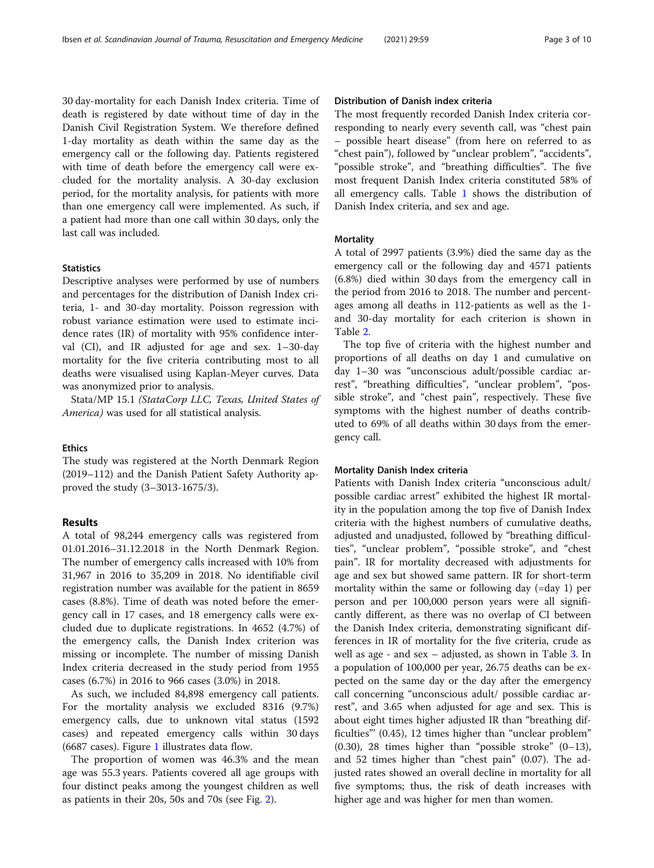30 day-mortality for each Danish Index criteria. Time of death is registered by date without time of day in the Danish Civil Registration System. We therefore defined 1-day mortality as death within the same day as the emergency call or the following day. Patients registered with time of death before the emergency call were excluded for the mortality analysis. A 30-day exclusion period, for the mortality analysis, for patients with more than one emergency call were implemented. As such, if a patient had more than one call within 30 days, only the last call was included.

## **Statistics**

Descriptive analyses were performed by use of numbers and percentages for the distribution of Danish Index criteria, 1- and 30-day mortality. Poisson regression with robust variance estimation were used to estimate incidence rates (IR) of mortality with 95% confidence interval (CI), and IR adjusted for age and sex. 1–30-day mortality for the five criteria contributing most to all deaths were visualised using Kaplan-Meyer curves. Data was anonymized prior to analysis.

Stata/MP 15.1 (StataCorp LLC, Texas, United States of America) was used for all statistical analysis.

# Ethics

The study was registered at the North Denmark Region (2019–112) and the Danish Patient Safety Authority approved the study (3–3013-1675/3).

# Results

A total of 98,244 emergency calls was registered from 01.01.2016–31.12.2018 in the North Denmark Region. The number of emergency calls increased with 10% from 31,967 in 2016 to 35,209 in 2018. No identifiable civil registration number was available for the patient in 8659 cases (8.8%). Time of death was noted before the emergency call in 17 cases, and 18 emergency calls were excluded due to duplicate registrations. In 4652 (4.7%) of the emergency calls, the Danish Index criterion was missing or incomplete. The number of missing Danish Index criteria decreased in the study period from 1955 cases (6.7%) in 2016 to 966 cases (3.0%) in 2018.

As such, we included 84,898 emergency call patients. For the mortality analysis we excluded 8316 (9.7%) emergency calls, due to unknown vital status (1592 cases) and repeated emergency calls within 30 days (6687 cases). Figure [1](#page-3-0) illustrates data flow.

The proportion of women was 46.3% and the mean age was 55.3 years. Patients covered all age groups with four distinct peaks among the youngest children as well as patients in their 20s, 50s and 70s (see Fig. [2\)](#page-4-0).

# Distribution of Danish index criteria

The most frequently recorded Danish Index criteria corresponding to nearly every seventh call, was "chest pain – possible heart disease" (from here on referred to as "chest pain"), followed by "unclear problem", "accidents", "possible stroke", and "breathing difficulties". The five most frequent Danish Index criteria constituted 58% of all emergency calls. Table [1](#page-5-0) shows the distribution of Danish Index criteria, and sex and age.

### **Mortality**

A total of 2997 patients (3.9%) died the same day as the emergency call or the following day and 4571 patients (6.8%) died within 30 days from the emergency call in the period from 2016 to 2018. The number and percentages among all deaths in 112-patients as well as the 1 and 30-day mortality for each criterion is shown in Table [2.](#page-6-0)

The top five of criteria with the highest number and proportions of all deaths on day 1 and cumulative on day 1–30 was "unconscious adult/possible cardiac arrest", "breathing difficulties", "unclear problem", "possible stroke", and "chest pain", respectively. These five symptoms with the highest number of deaths contributed to 69% of all deaths within 30 days from the emergency call.

#### Mortality Danish Index criteria

Patients with Danish Index criteria "unconscious adult/ possible cardiac arrest" exhibited the highest IR mortality in the population among the top five of Danish Index criteria with the highest numbers of cumulative deaths, adjusted and unadjusted, followed by "breathing difficulties", "unclear problem", "possible stroke", and "chest pain". IR for mortality decreased with adjustments for age and sex but showed same pattern. IR for short-term mortality within the same or following day (=day 1) per person and per 100,000 person years were all significantly different, as there was no overlap of CI between the Danish Index criteria, demonstrating significant differences in IR of mortality for the five criteria, crude as well as age - and sex – adjusted, as shown in Table [3.](#page-7-0) In a population of 100,000 per year, 26.75 deaths can be expected on the same day or the day after the emergency call concerning "unconscious adult/ possible cardiac arrest", and 3.65 when adjusted for age and sex. This is about eight times higher adjusted IR than "breathing difficulties"' (0.45), 12 times higher than "unclear problem" (0.30), 28 times higher than "possible stroke"  $(0-13)$ , and 52 times higher than "chest pain" (0.07). The adjusted rates showed an overall decline in mortality for all five symptoms; thus, the risk of death increases with higher age and was higher for men than women.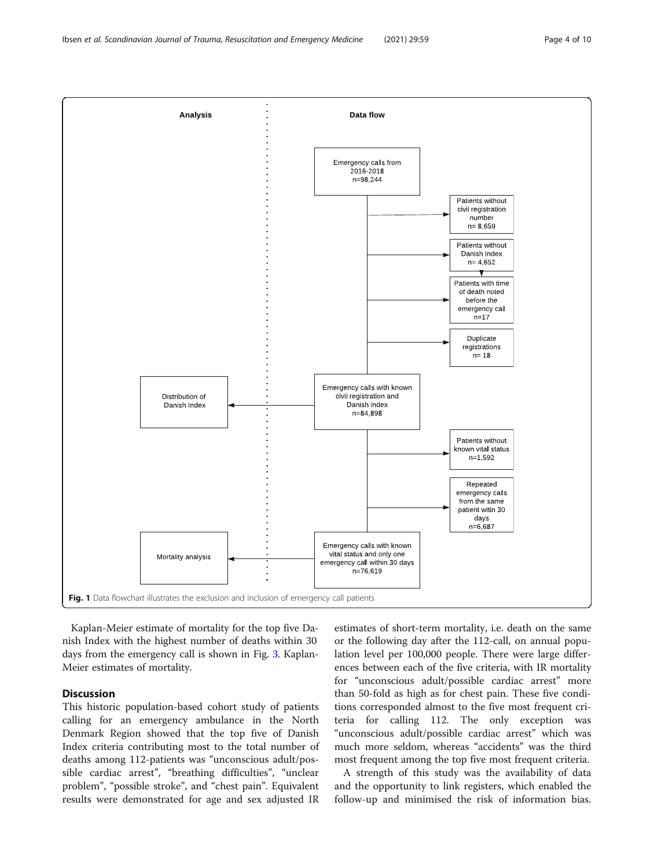<span id="page-3-0"></span>

Kaplan-Meier estimate of mortality for the top five Danish Index with the highest number of deaths within 30 days from the emergency call is shown in Fig. [3](#page-7-0). Kaplan-Meier estimates of mortality.

# **Discussion**

This historic population-based cohort study of patients calling for an emergency ambulance in the North Denmark Region showed that the top five of Danish Index criteria contributing most to the total number of deaths among 112-patients was "unconscious adult/possible cardiac arrest", "breathing difficulties", "unclear problem", "possible stroke", and "chest pain". Equivalent results were demonstrated for age and sex adjusted IR

estimates of short-term mortality, i.e. death on the same or the following day after the 112-call, on annual population level per 100,000 people. There were large differences between each of the five criteria, with IR mortality for "unconscious adult/possible cardiac arrest" more than 50-fold as high as for chest pain. These five conditions corresponded almost to the five most frequent criteria for calling 112. The only exception was "unconscious adult/possible cardiac arrest" which was much more seldom, whereas "accidents" was the third most frequent among the top five most frequent criteria.

A strength of this study was the availability of data and the opportunity to link registers, which enabled the follow-up and minimised the risk of information bias.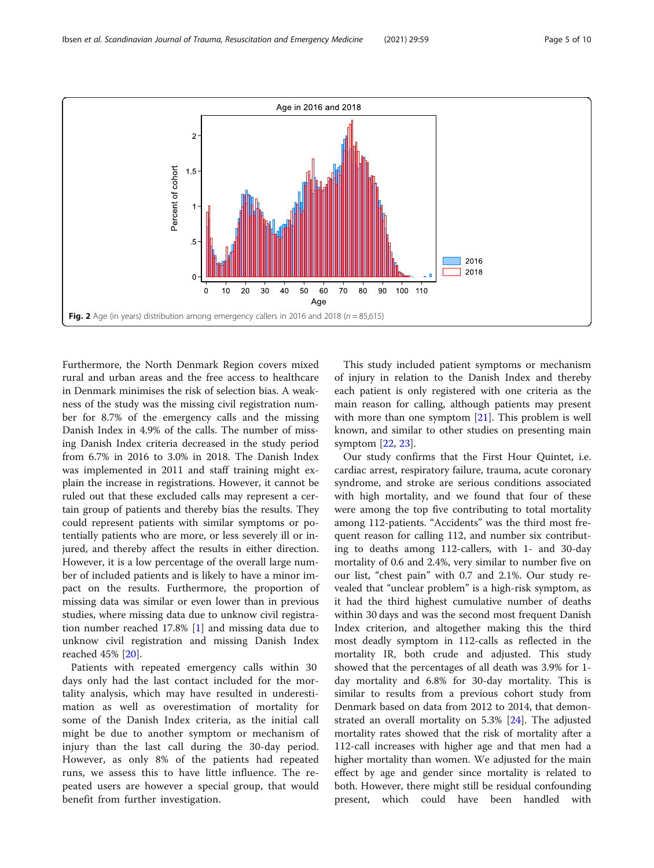<span id="page-4-0"></span>

Furthermore, the North Denmark Region covers mixed rural and urban areas and the free access to healthcare in Denmark minimises the risk of selection bias. A weakness of the study was the missing civil registration number for 8.7% of the emergency calls and the missing Danish Index in 4.9% of the calls. The number of missing Danish Index criteria decreased in the study period from 6.7% in 2016 to 3.0% in 2018. The Danish Index was implemented in 2011 and staff training might explain the increase in registrations. However, it cannot be ruled out that these excluded calls may represent a certain group of patients and thereby bias the results. They could represent patients with similar symptoms or potentially patients who are more, or less severely ill or injured, and thereby affect the results in either direction. However, it is a low percentage of the overall large number of included patients and is likely to have a minor impact on the results. Furthermore, the proportion of missing data was similar or even lower than in previous studies, where missing data due to unknow civil registration number reached 17.8% [\[1](#page-8-0)] and missing data due to unknow civil registration and missing Danish Index reached 45% [\[20](#page-9-0)].

Patients with repeated emergency calls within 30 days only had the last contact included for the mortality analysis, which may have resulted in underestimation as well as overestimation of mortality for some of the Danish Index criteria, as the initial call might be due to another symptom or mechanism of injury than the last call during the 30-day period. However, as only 8% of the patients had repeated runs, we assess this to have little influence. The repeated users are however a special group, that would benefit from further investigation.

This study included patient symptoms or mechanism of injury in relation to the Danish Index and thereby each patient is only registered with one criteria as the main reason for calling, although patients may present with more than one symptom  $[21]$  $[21]$ . This problem is well known, and similar to other studies on presenting main symptom [[22,](#page-9-0) [23\]](#page-9-0).

Our study confirms that the First Hour Quintet, i.e. cardiac arrest, respiratory failure, trauma, acute coronary syndrome, and stroke are serious conditions associated with high mortality, and we found that four of these were among the top five contributing to total mortality among 112-patients. "Accidents" was the third most frequent reason for calling 112, and number six contributing to deaths among 112-callers, with 1- and 30-day mortality of 0.6 and 2.4%, very similar to number five on our list, "chest pain" with 0.7 and 2.1%. Our study revealed that "unclear problem" is a high-risk symptom, as it had the third highest cumulative number of deaths within 30 days and was the second most frequent Danish Index criterion, and altogether making this the third most deadly symptom in 112-calls as reflected in the mortality IR, both crude and adjusted. This study showed that the percentages of all death was 3.9% for 1 day mortality and 6.8% for 30-day mortality. This is similar to results from a previous cohort study from Denmark based on data from 2012 to 2014, that demonstrated an overall mortality on 5.3% [[24\]](#page-9-0). The adjusted mortality rates showed that the risk of mortality after a 112-call increases with higher age and that men had a higher mortality than women. We adjusted for the main effect by age and gender since mortality is related to both. However, there might still be residual confounding present, which could have been handled with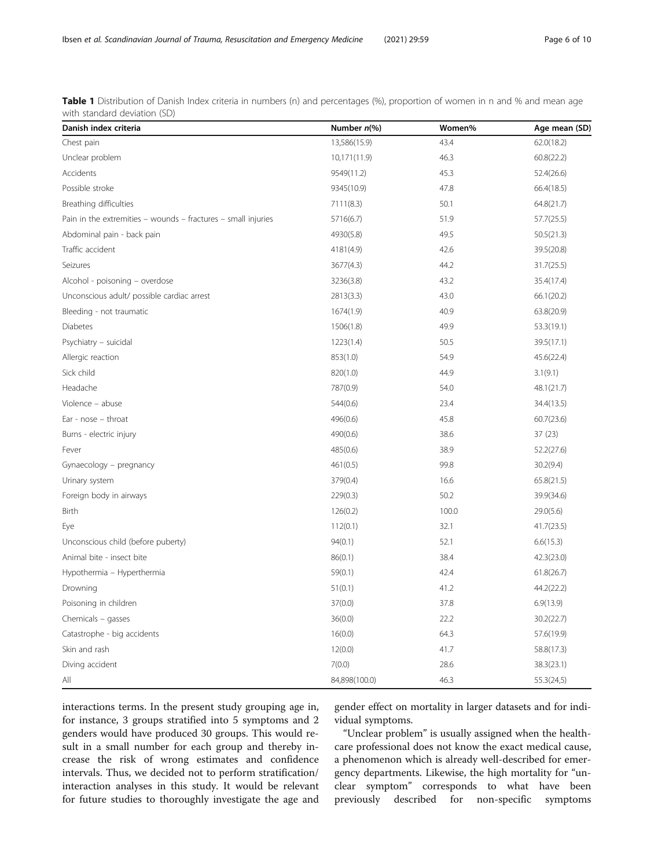<span id="page-5-0"></span>Table 1 Distribution of Danish Index criteria in numbers (n) and percentages (%), proportion of women in n and % and mean age with standard deviation (SD)

| Danish index criteria                                         | Number n(%)   | Women% | Age mean (SD) |
|---------------------------------------------------------------|---------------|--------|---------------|
| Chest pain                                                    | 13,586(15.9)  | 43.4   | 62.0(18.2)    |
| Unclear problem                                               | 10,171(11.9)  | 46.3   | 60.8(22.2)    |
| Accidents                                                     | 9549(11.2)    | 45.3   | 52.4(26.6)    |
| Possible stroke                                               | 9345(10.9)    | 47.8   | 66.4(18.5)    |
| Breathing difficulties                                        | 7111(8.3)     | 50.1   | 64.8(21.7)    |
| Pain in the extremities - wounds - fractures - small injuries | 5716(6.7)     | 51.9   | 57.7(25.5)    |
| Abdominal pain - back pain                                    | 4930(5.8)     | 49.5   | 50.5(21.3)    |
| Traffic accident                                              | 4181(4.9)     | 42.6   | 39.5(20.8)    |
| Seizures                                                      | 3677(4.3)     | 44.2   | 31.7(25.5)    |
| Alcohol - poisoning – overdose                                | 3236(3.8)     | 43.2   | 35.4(17.4)    |
| Unconscious adult/ possible cardiac arrest                    | 2813(3.3)     | 43.0   | 66.1(20.2)    |
| Bleeding - not traumatic                                      | 1674(1.9)     | 40.9   | 63.8(20.9)    |
| <b>Diabetes</b>                                               | 1506(1.8)     | 49.9   | 53.3(19.1)    |
| Psychiatry - suicidal                                         | 1223(1.4)     | 50.5   | 39.5(17.1)    |
| Allergic reaction                                             | 853(1.0)      | 54.9   | 45.6(22.4)    |
| Sick child                                                    | 820(1.0)      | 44.9   | 3.1(9.1)      |
| Headache                                                      | 787(0.9)      | 54.0   | 48.1(21.7)    |
| Violence - abuse                                              | 544(0.6)      | 23.4   | 34.4(13.5)    |
| Ear - $nose - throat$                                         | 496(0.6)      | 45.8   | 60.7(23.6)    |
| Burns - electric injury                                       | 490(0.6)      | 38.6   | 37(23)        |
| Fever                                                         | 485(0.6)      | 38.9   | 52.2(27.6)    |
| Gynaecology - pregnancy                                       | 461(0.5)      | 99.8   | 30.2(9.4)     |
| Urinary system                                                | 379(0.4)      | 16.6   | 65.8(21.5)    |
| Foreign body in airways                                       | 229(0.3)      | 50.2   | 39.9(34.6)    |
| Birth                                                         | 126(0.2)      | 100.0  | 29.0(5.6)     |
| Eye                                                           | 112(0.1)      | 32.1   | 41.7(23.5)    |
| Unconscious child (before puberty)                            | 94(0.1)       | 52.1   | 6.6(15.3)     |
| Animal bite - insect bite                                     | 86(0.1)       | 38.4   | 42.3(23.0)    |
| Hypothermia - Hyperthermia                                    | 59(0.1)       | 42.4   | 61.8(26.7)    |
| Drowning                                                      | 51(0.1)       | 41.2   | 44.2(22.2)    |
| Poisoning in children                                         | 37(0.0)       | 37.8   | 6.9(13.9)     |
| Chemicals - gasses                                            | 36(0.0)       | 22.2   | 30.2(22.7)    |
| Catastrophe - big accidents                                   | 16(0.0)       | 64.3   | 57.6(19.9)    |
| Skin and rash                                                 | 12(0.0)       | 41.7   | 58.8(17.3)    |
| Diving accident                                               | 7(0.0)        | 28.6   | 38.3(23.1)    |
| All                                                           | 84,898(100.0) | 46.3   | 55.3(24,5)    |

interactions terms. In the present study grouping age in, for instance, 3 groups stratified into 5 symptoms and 2 genders would have produced 30 groups. This would result in a small number for each group and thereby increase the risk of wrong estimates and confidence intervals. Thus, we decided not to perform stratification/ interaction analyses in this study. It would be relevant for future studies to thoroughly investigate the age and

gender effect on mortality in larger datasets and for individual symptoms.

"Unclear problem" is usually assigned when the healthcare professional does not know the exact medical cause, a phenomenon which is already well-described for emergency departments. Likewise, the high mortality for "unclear symptom" corresponds to what have been previously described for non-specific symptoms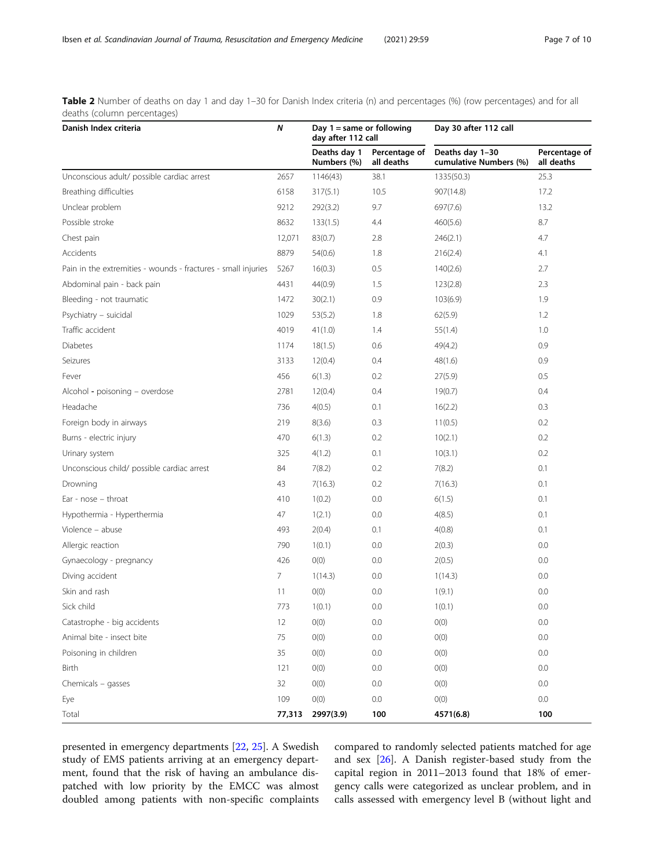<span id="page-6-0"></span>Table 2 Number of deaths on day 1 and day 1–30 for Danish Index criteria (n) and percentages (%) (row percentages) and for all deaths (column percentages)

| Danish Index criteria                                         | N      | Day $1 =$ same or following<br>day after 112 call |                             | Day 30 after 112 call                     |                             |
|---------------------------------------------------------------|--------|---------------------------------------------------|-----------------------------|-------------------------------------------|-----------------------------|
|                                                               |        | Deaths day 1<br>Numbers (%)                       | Percentage of<br>all deaths | Deaths day 1-30<br>cumulative Numbers (%) | Percentage of<br>all deaths |
| Unconscious adult/ possible cardiac arrest                    | 2657   | 1146(43)                                          | 38.1                        | 1335(50.3)                                | 25.3                        |
| Breathing difficulties                                        | 6158   | 317(5.1)                                          | 10.5                        | 907(14.8)                                 | 17.2                        |
| Unclear problem                                               | 9212   | 292(3.2)                                          | 9.7                         | 697(7.6)                                  | 13.2                        |
| Possible stroke                                               | 8632   | 133(1.5)                                          | 4.4                         | 460(5.6)                                  | 8.7                         |
| Chest pain                                                    | 12,071 | 83(0.7)                                           | 2.8                         | 246(2.1)                                  | 4.7                         |
| Accidents                                                     | 8879   | 54(0.6)                                           | 1.8                         | 216(2.4)                                  | 4.1                         |
| Pain in the extremities - wounds - fractures - small injuries | 5267   | 16(0.3)                                           | 0.5                         | 140(2.6)                                  | 2.7                         |
| Abdominal pain - back pain                                    | 4431   | 44(0.9)                                           | 1.5                         | 123(2.8)                                  | 2.3                         |
| Bleeding - not traumatic                                      | 1472   | 30(2.1)                                           | 0.9                         | 103(6.9)                                  | 1.9                         |
| Psychiatry - suicidal                                         | 1029   | 53(5.2)                                           | 1.8                         | 62(5.9)                                   | 1.2                         |
| Traffic accident                                              | 4019   | 41(1.0)                                           | 1.4                         | 55(1.4)                                   | 1.0                         |
| Diabetes                                                      | 1174   | 18(1.5)                                           | 0.6                         | 49(4.2)                                   | 0.9                         |
| Seizures                                                      | 3133   | 12(0.4)                                           | 0.4                         | 48(1.6)                                   | 0.9                         |
| Fever                                                         | 456    | 6(1.3)                                            | 0.2                         | 27(5.9)                                   | 0.5                         |
| Alcohol - poisoning - overdose                                | 2781   | 12(0.4)                                           | 0.4                         | 19(0.7)                                   | 0.4                         |
| Headache                                                      | 736    | 4(0.5)                                            | 0.1                         | 16(2.2)                                   | 0.3                         |
| Foreign body in airways                                       | 219    | 8(3.6)                                            | 0.3                         | 11(0.5)                                   | 0.2                         |
| Burns - electric injury                                       | 470    | 6(1.3)                                            | 0.2                         | 10(2.1)                                   | 0.2                         |
| Urinary system                                                | 325    | 4(1.2)                                            | 0.1                         | 10(3.1)                                   | 0.2                         |
| Unconscious child/ possible cardiac arrest                    | 84     | 7(8.2)                                            | 0.2                         | 7(8.2)                                    | 0.1                         |
| Drowning                                                      | 43     | 7(16.3)                                           | 0.2                         | 7(16.3)                                   | 0.1                         |
| Ear - $nose - throat$                                         | 410    | 1(0.2)                                            | 0.0                         | 6(1.5)                                    | 0.1                         |
| Hypothermia - Hyperthermia                                    | 47     | 1(2.1)                                            | 0.0                         | 4(8.5)                                    | 0.1                         |
| Violence - abuse                                              | 493    | 2(0.4)                                            | 0.1                         | 4(0.8)                                    | 0.1                         |
| Allergic reaction                                             | 790    | 1(0.1)                                            | 0.0                         | 2(0.3)                                    | 0.0                         |
| Gynaecology - pregnancy                                       | 426    | O(0)                                              | 0.0                         | 2(0.5)                                    | 0.0                         |
| Diving accident                                               | 7      | 1(14.3)                                           | 0.0                         | 1(14.3)                                   | 0.0                         |
| Skin and rash                                                 | 11     | O(0)                                              | 0.0                         | 1(9.1)                                    | 0.0                         |
| Sick child                                                    | 773    | 1(0.1)                                            | 0.0                         | 1(0.1)                                    | 0.0                         |
| Catastrophe - big accidents                                   | 12     | O(0)                                              | 0.0                         | O(0)                                      | 0.0                         |
| Animal bite - insect bite                                     | 75     | O(0)                                              | 0.0                         | O(0)                                      | 0.0                         |
| Poisoning in children                                         | 35     | O(0)                                              | 0.0                         | O(0)                                      | 0.0                         |
| Birth                                                         | 121    | O(0)                                              | 0.0                         | O(0)                                      | 0.0                         |
| Chemicals - gasses                                            | 32     | O(0)                                              | 0.0                         | O(0)                                      | 0.0                         |
| Eye                                                           | 109    | O(0)                                              | 0.0                         | O(0)                                      | $0.0\,$                     |
| Total                                                         | 77,313 | 2997(3.9)                                         | 100                         | 4571(6.8)                                 | 100                         |

presented in emergency departments [\[22](#page-9-0), [25](#page-9-0)]. A Swedish study of EMS patients arriving at an emergency department, found that the risk of having an ambulance dispatched with low priority by the EMCC was almost doubled among patients with non-specific complaints

compared to randomly selected patients matched for age and sex [\[26\]](#page-9-0). A Danish register-based study from the capital region in 2011–2013 found that 18% of emergency calls were categorized as unclear problem, and in calls assessed with emergency level B (without light and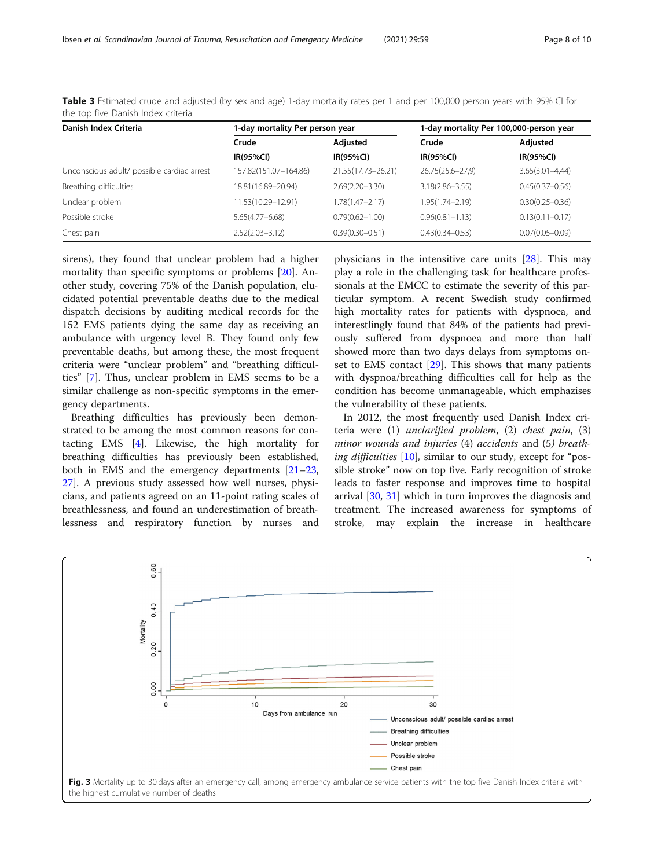| Danish Index Criteria                      | 1-day mortality Per person year |                     | 1-day mortality Per 100,000-person year |                     |  |
|--------------------------------------------|---------------------------------|---------------------|-----------------------------------------|---------------------|--|
|                                            | Crude                           | Adjusted            | Crude                                   | Adjusted            |  |
|                                            | <b>IR(95%CI)</b>                | <b>IR(95%CI)</b>    | <b>IR(95%CI)</b>                        | <b>IR(95%CI)</b>    |  |
| Unconscious adult/ possible cardiac arrest | 157.82(151.07-164.86)           | 21.55(17.73-26.21)  | 26.75(25.6-27,9)                        | $3.65(3.01 - 4.44)$ |  |
| Breathing difficulties                     | 18.81(16.89-20.94)              | $2.69(2.20 - 3.30)$ | $3,18(2.86 - 3.55)$                     | $0.45(0.37 - 0.56)$ |  |
| Unclear problem                            | 1.53(10.29-12.91)               | 1.78(1.47–2.17)     | $1.95(1.74 - 2.19)$                     | $0.30(0.25 - 0.36)$ |  |
| Possible stroke                            | $5.65(4.77 - 6.68)$             | $0.79(0.62 - 1.00)$ | $0.96(0.81 - 1.13)$                     | $0.13(0.11 - 0.17)$ |  |
| Chest pain                                 | $2.52(2.03 - 3.12)$             | $0.39(0.30 - 0.51)$ | $0.43(0.34 - 0.53)$                     | $0.07(0.05 - 0.09)$ |  |

<span id="page-7-0"></span>Table 3 Estimated crude and adjusted (by sex and age) 1-day mortality rates per 1 and per 100,000 person years with 95% CI for the top five Danish Index criteria

sirens), they found that unclear problem had a higher mortality than specific symptoms or problems [[20\]](#page-9-0). Another study, covering 75% of the Danish population, elucidated potential preventable deaths due to the medical dispatch decisions by auditing medical records for the 152 EMS patients dying the same day as receiving an ambulance with urgency level B. They found only few preventable deaths, but among these, the most frequent criteria were "unclear problem" and "breathing difficulties" [\[7](#page-9-0)]. Thus, unclear problem in EMS seems to be a similar challenge as non-specific symptoms in the emergency departments.

Breathing difficulties has previously been demonstrated to be among the most common reasons for contacting EMS [\[4](#page-8-0)]. Likewise, the high mortality for breathing difficulties has previously been established, both in EMS and the emergency departments [[21](#page-9-0)–[23](#page-9-0), [27\]](#page-9-0). A previous study assessed how well nurses, physicians, and patients agreed on an 11-point rating scales of breathlessness, and found an underestimation of breathlessness and respiratory function by nurses and physicians in the intensitive care units [[28](#page-9-0)]. This may play a role in the challenging task for healthcare professionals at the EMCC to estimate the severity of this particular symptom. A recent Swedish study confirmed high mortality rates for patients with dyspnoea, and interestlingly found that 84% of the patients had previously suffered from dyspnoea and more than half showed more than two days delays from symptoms onset to EMS contact [[29\]](#page-9-0). This shows that many patients with dyspnoa/breathing difficulties call for help as the condition has become unmanageable, which emphazises the vulnerability of these patients.

In 2012, the most frequently used Danish Index criteria were (1) unclarified problem, (2) chest pain, (3) minor wounds and injuries (4) accidents and (5) breath-ing difficulties [[10\]](#page-9-0), similar to our study, except for "possible stroke" now on top five. Early recognition of stroke leads to faster response and improves time to hospital arrival [[30,](#page-9-0) [31](#page-9-0)] which in turn improves the diagnosis and treatment. The increased awareness for symptoms of stroke, may explain the increase in healthcare

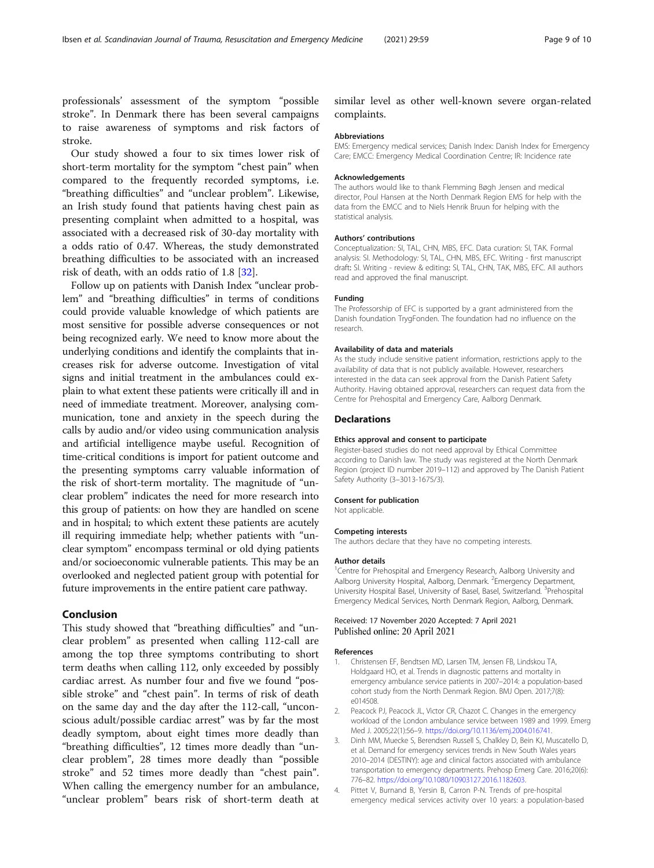<span id="page-8-0"></span>professionals' assessment of the symptom "possible stroke". In Denmark there has been several campaigns to raise awareness of symptoms and risk factors of stroke.

Our study showed a four to six times lower risk of short-term mortality for the symptom "chest pain" when compared to the frequently recorded symptoms, i.e. "breathing difficulties" and "unclear problem". Likewise, an Irish study found that patients having chest pain as presenting complaint when admitted to a hospital, was associated with a decreased risk of 30-day mortality with a odds ratio of 0.47. Whereas, the study demonstrated breathing difficulties to be associated with an increased risk of death, with an odds ratio of 1.8 [[32\]](#page-9-0).

Follow up on patients with Danish Index "unclear problem" and "breathing difficulties" in terms of conditions could provide valuable knowledge of which patients are most sensitive for possible adverse consequences or not being recognized early. We need to know more about the underlying conditions and identify the complaints that increases risk for adverse outcome. Investigation of vital signs and initial treatment in the ambulances could explain to what extent these patients were critically ill and in need of immediate treatment. Moreover, analysing communication, tone and anxiety in the speech during the calls by audio and/or video using communication analysis and artificial intelligence maybe useful. Recognition of time-critical conditions is import for patient outcome and the presenting symptoms carry valuable information of the risk of short-term mortality. The magnitude of "unclear problem" indicates the need for more research into this group of patients: on how they are handled on scene and in hospital; to which extent these patients are acutely ill requiring immediate help; whether patients with "unclear symptom" encompass terminal or old dying patients and/or socioeconomic vulnerable patients. This may be an overlooked and neglected patient group with potential for future improvements in the entire patient care pathway.

# Conclusion

This study showed that "breathing difficulties" and "unclear problem" as presented when calling 112-call are among the top three symptoms contributing to short term deaths when calling 112, only exceeded by possibly cardiac arrest. As number four and five we found "possible stroke" and "chest pain". In terms of risk of death on the same day and the day after the 112-call, "unconscious adult/possible cardiac arrest" was by far the most deadly symptom, about eight times more deadly than "breathing difficulties", 12 times more deadly than "unclear problem", 28 times more deadly than "possible stroke" and 52 times more deadly than "chest pain". When calling the emergency number for an ambulance, "unclear problem" bears risk of short-term death at

similar level as other well-known severe organ-related complaints.

#### Abbreviations

EMS: Emergency medical services; Danish Index: Danish Index for Emergency Care; EMCC: Emergency Medical Coordination Centre; IR: Incidence rate

#### Acknowledgements

The authors would like to thank Flemming Bøgh Jensen and medical director, Poul Hansen at the North Denmark Region EMS for help with the data from the EMCC and to Niels Henrik Bruun for helping with the statistical analysis.

#### Authors' contributions

Conceptualization: SI, TAL, CHN, MBS, EFC. Data curation: SI, TAK. Formal analysis: SI. Methodology: SI, TAL, CHN, MBS, EFC. Writing - first manuscript draft: SI. Writing - review & editing: SI, TAL, CHN, TAK, MBS, EFC. All authors read and approved the final manuscript.

#### Funding

The Professorship of EFC is supported by a grant administered from the Danish foundation TrygFonden. The foundation had no influence on the research.

#### Availability of data and materials

As the study include sensitive patient information, restrictions apply to the availability of data that is not publicly available. However, researchers interested in the data can seek approval from the Danish Patient Safety Authority. Having obtained approval, researchers can request data from the Centre for Prehospital and Emergency Care, Aalborg Denmark.

#### **Declarations**

#### Ethics approval and consent to participate

Register-based studies do not need approval by Ethical Committee according to Danish law. The study was registered at the North Denmark Region (project ID number 2019–112) and approved by The Danish Patient Safety Authority (3–3013-1675/3).

#### Consent for publication

Not applicable.

#### Competing interests

The authors declare that they have no competing interests.

#### Author details

<sup>1</sup> Centre for Prehospital and Emergency Research, Aalborg University and Aalborg University Hospital, Aalborg, Denmark. <sup>2</sup>Emergency Department, University Hospital Basel, University of Basel, Basel, Switzerland.<sup>3</sup> Prehospital Emergency Medical Services, North Denmark Region, Aalborg, Denmark.

# Received: 17 November 2020 Accepted: 7 April 2021 Published online: 20 April 2021

#### References

- 1. Christensen EF, Bendtsen MD, Larsen TM, Jensen FB, Lindskou TA, Holdgaard HO, et al. Trends in diagnostic patterns and mortality in emergency ambulance service patients in 2007–2014: a population-based cohort study from the North Denmark Region. BMJ Open. 2017;7(8): e014508.
- 2. Peacock PJ, Peacock JL, Victor CR, Chazot C. Changes in the emergency workload of the London ambulance service between 1989 and 1999. Emerg Med J. 2005;22(1):56–9. [https://doi.org/10.1136/emj.2004.016741.](https://doi.org/10.1136/emj.2004.016741)
- 3. Dinh MM, Muecke S, Berendsen Russell S, Chalkley D, Bein KJ, Muscatello D, et al. Demand for emergency services trends in New South Wales years 2010–2014 (DESTINY): age and clinical factors associated with ambulance transportation to emergency departments. Prehosp Emerg Care. 2016;20(6): 776–82. <https://doi.org/10.1080/10903127.2016.1182603>.
- 4. Pittet V, Burnand B, Yersin B, Carron P-N. Trends of pre-hospital emergency medical services activity over 10 years: a population-based